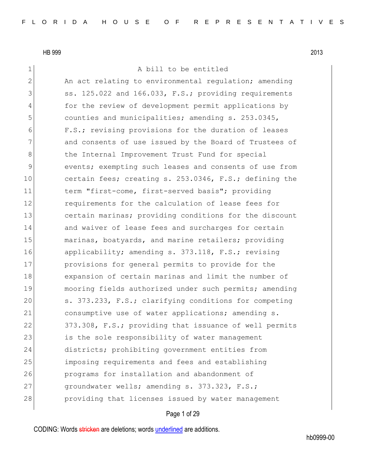1 a bill to be entitled

2 An act relating to environmental regulation; amending 3 Ss. 125.022 and 166.033, F.S.; providing requirements 4 for the review of development permit applications by 5 counties and municipalities; amending s. 253.0345, 6 F.S.; revising provisions for the duration of leases 7 and consents of use issued by the Board of Trustees of 8 6 18 the Internal Improvement Trust Fund for special 9 events; exempting such leases and consents of use from 10 certain fees; creating s. 253.0346, F.S.; defining the 11 term "first-come, first-served basis"; providing 12 **12** requirements for the calculation of lease fees for 13 certain marinas; providing conditions for the discount 14 and waiver of lease fees and surcharges for certain 15 marinas, boatyards, and marine retailers; providing 16 applicability; amending s. 373.118, F.S.; revising 17 provisions for general permits to provide for the 18 expansion of certain marinas and limit the number of 19 mooring fields authorized under such permits; amending 20 s. 373.233, F.S.; clarifying conditions for competing 21 consumptive use of water applications; amending s. 22 373.308, F.S.; providing that issuance of well permits 23 is the sole responsibility of water management 24 districts; prohibiting government entities from 25 imposing requirements and fees and establishing 26 programs for installation and abandonment of 27 groundwater wells; amending s. 373.323, F.S.; 28 providing that licenses issued by water management

## Page 1 of 29

CODING: Words stricken are deletions; words underlined are additions.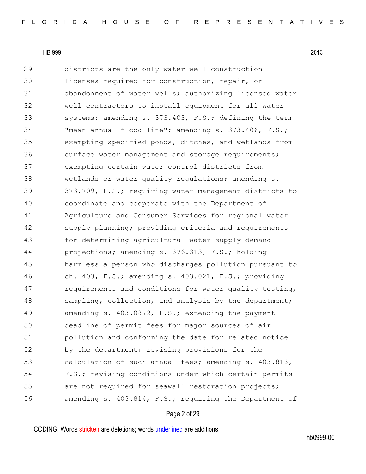29 districts are the only water well construction licenses required for construction, repair, or abandonment of water wells; authorizing licensed water well contractors to install equipment for all water 33 systems; amending s. 373.403, F.S.; defining the term "mean annual flood line"; amending s. 373.406, F.S.; exempting specified ponds, ditches, and wetlands from 36 surface water management and storage requirements; exempting certain water control districts from wetlands or water quality regulations; amending s. 373.709, F.S.; requiring water management districts to coordinate and cooperate with the Department of Agriculture and Consumer Services for regional water 42 supply planning; providing criteria and requirements 43 for determining agricultural water supply demand projections; amending s. 376.313, F.S.; holding harmless a person who discharges pollution pursuant to ch. 403, F.S.; amending s. 403.021, F.S.; providing 47 requirements and conditions for water quality testing, 48 sampling, collection, and analysis by the department; 49 amending s. 403.0872, F.S.; extending the payment deadline of permit fees for major sources of air pollution and conforming the date for related notice 52 by the department; revising provisions for the 53 calculation of such annual fees; amending s. 403.813, F.S.; revising conditions under which certain permits 55 are not required for seawall restoration projects; **120 amending s.** 403.814, F.S.; requiring the Department of

## Page 2 of 29

CODING: Words stricken are deletions; words underlined are additions.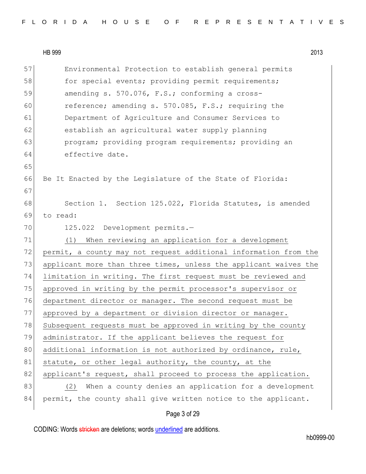57 Environmental Protection to establish general permits 58 for special events; providing permit requirements; 59 amending s. 570.076, F.S.; conforming a cross-60 reference; amending s. 570.085, F.S.; requiring the 61 Department of Agriculture and Consumer Services to 62 establish an agricultural water supply planning 63 program; providing program requirements; providing an 64 effective date. 65 66 Be It Enacted by the Legislature of the State of Florida: 67 68 Section 1. Section 125.022, Florida Statutes, is amended 69 to read: 70 125.022 Development permits.-71 (1) When reviewing an application for a development 72 permit, a county may not request additional information from the 73 applicant more than three times, unless the applicant waives the 74 limitation in writing. The first request must be reviewed and 75 approved in writing by the permit processor's supervisor or 76 department director or manager. The second request must be 77 approved by a department or division director or manager. 78 Subsequent requests must be approved in writing by the county 79 administrator. If the applicant believes the request for 80 additional information is not authorized by ordinance, rule, 81 statute, or other legal authority, the county, at the 82 applicant's request, shall proceed to process the application. 83 (2) When a county denies an application for a development 84 permit, the county shall give written notice to the applicant.

## Page 3 of 29

CODING: Words stricken are deletions; words underlined are additions.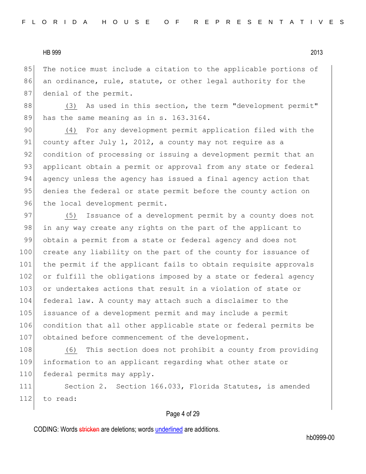85 The notice must include a citation to the applicable portions of 86 an ordinance, rule, statute, or other legal authority for the 87 denial of the permit.

88 (3) As used in this section, the term "development permit" 89 has the same meaning as in s. 163.3164.

90 (4) For any development permit application filed with the 91 county after July 1, 2012, a county may not require as a 92 condition of processing or issuing a development permit that an 93 applicant obtain a permit or approval from any state or federal 94 agency unless the agency has issued a final agency action that 95 denies the federal or state permit before the county action on 96 the local development permit.

97 (5) Issuance of a development permit by a county does not 98 in any way create any rights on the part of the applicant to 99 obtain a permit from a state or federal agency and does not 100 create any liability on the part of the county for issuance of 101 the permit if the applicant fails to obtain requisite approvals 102 or fulfill the obligations imposed by a state or federal agency 103 or undertakes actions that result in a violation of state or 104 federal law. A county may attach such a disclaimer to the 105 issuance of a development permit and may include a permit 106 condition that all other applicable state or federal permits be 107 obtained before commencement of the development.

108 (6) This section does not prohibit a county from providing 109 information to an applicant regarding what other state or 110 federal permits may apply.

111 Section 2. Section 166.033, Florida Statutes, is amended 112 to read:

#### Page 4 of 29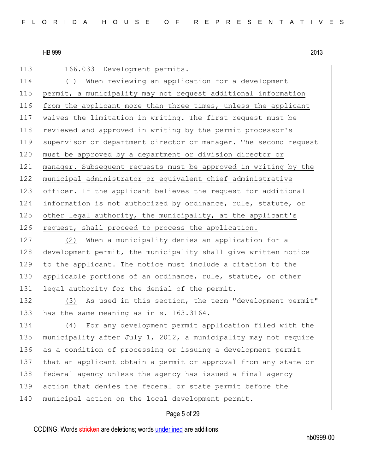113 166.033 Development permits.-

 (1) When reviewing an application for a development permit, a municipality may not request additional information from the applicant more than three times, unless the applicant waives the limitation in writing. The first request must be 118 reviewed and approved in writing by the permit processor's supervisor or department director or manager. The second request 120 must be approved by a department or division director or manager. Subsequent requests must be approved in writing by the municipal administrator or equivalent chief administrative officer. If the applicant believes the request for additional information is not authorized by ordinance, rule, statute, or 125 other legal authority, the municipality, at the applicant's 126 request, shall proceed to process the application.

127 (2) When a municipality denies an application for a 128 development permit, the municipality shall give written notice 129 to the applicant. The notice must include a citation to the 130 applicable portions of an ordinance, rule, statute, or other 131 legal authority for the denial of the permit.

132 (3) As used in this section, the term "development permit" 133 has the same meaning as in s. 163.3164.

134 (4) For any development permit application filed with the 135 municipality after July 1, 2012, a municipality may not require 136 as a condition of processing or issuing a development permit 137 that an applicant obtain a permit or approval from any state or 138 federal agency unless the agency has issued a final agency 139 action that denies the federal or state permit before the 140 municipal action on the local development permit.

# Page 5 of 29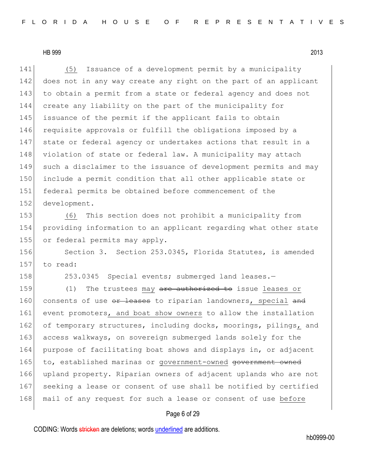(5) Issuance of a development permit by a municipality 142 does not in any way create any right on the part of an applicant 143 to obtain a permit from a state or federal agency and does not create any liability on the part of the municipality for issuance of the permit if the applicant fails to obtain requisite approvals or fulfill the obligations imposed by a state or federal agency or undertakes actions that result in a 148 violation of state or federal law. A municipality may attach such a disclaimer to the issuance of development permits and may include a permit condition that all other applicable state or federal permits be obtained before commencement of the development.

153 (6) This section does not prohibit a municipality from 154 providing information to an applicant regarding what other state 155 or federal permits may apply.

156 Section 3. Section 253.0345, Florida Statutes, is amended 157 to read:

158 253.0345 Special events; submerged land leases.-

159 (1) The trustees may are authorized to issue leases or 160 consents of use or leases to riparian landowners, special and 161 event promoters, and boat show owners to allow the installation 162 of temporary structures, including docks, moorings, pilings, and 163 access walkways, on sovereign submerged lands solely for the 164 purpose of facilitating boat shows and displays in, or adjacent 165 to, established marinas or government-owned government owned 166 upland property. Riparian owners of adjacent uplands who are not 167 seeking a lease or consent of use shall be notified by certified 168 mail of any request for such a lease or consent of use before

#### Page 6 of 29

CODING: Words stricken are deletions; words underlined are additions.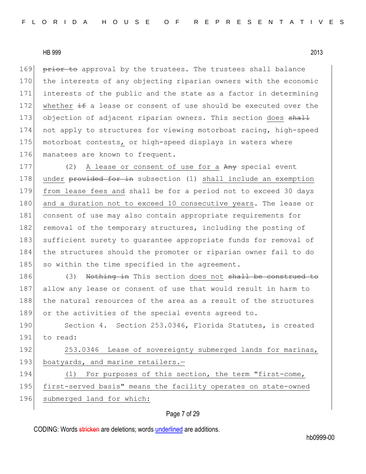169 prior to approval by the trustees. The trustees shall balance 170 the interests of any objecting riparian owners with the economic 171 interests of the public and the state as a factor in determining 172 whether  $\pm$  a lease or consent of use should be executed over the 173 objection of adjacent riparian owners. This section does shall 174 not apply to structures for viewing motorboat racing, high-speed 175 motorboat contests, or high-speed displays in waters where 176 manatees are known to frequent.

177 (2) A lease or consent of use for a Any special event 178 under provided for in subsection (1) shall include an exemption 179 from lease fees and shall be for a period not to exceed 30 days 180 and a duration not to exceed 10 consecutive years. The lease or 181 consent of use may also contain appropriate requirements for 182 removal of the temporary structures, including the posting of 183 sufficient surety to quarantee appropriate funds for removal of 184 the structures should the promoter or riparian owner fail to do 185 so within the time specified in the agreement.

186 (3) Nothing in This section does not shall be construed to 187 allow any lease or consent of use that would result in harm to 188 the natural resources of the area as a result of the structures 189 or the activities of the special events agreed to.

190 Section 4. Section 253.0346, Florida Statutes, is created 191 to read:

192 253.0346 Lease of sovereignty submerged lands for marinas, 193 boatyards, and marine retailers.-

194 (1) For purposes of this section, the term "first-come, 195 first-served basis" means the facility operates on state-owned 196 submerged land for which:

#### Page 7 of 29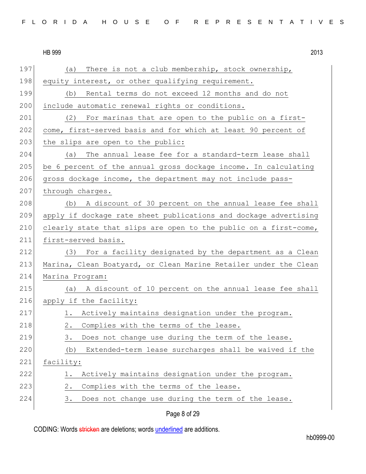197 (a) There is not a club membership, stock ownership, 198 equity interest, or other qualifying requirement. 199 (b) Rental terms do not exceed 12 months and do not 200 include automatic renewal rights or conditions. 201 (2) For marinas that are open to the public on a first-202 come, first-served basis and for which at least 90 percent of  $203$  the slips are open to the public: 204 (a) The annual lease fee for a standard-term lease shall 205 be 6 percent of the annual gross dockage income. In calculating  $206$  gross dockage income, the department may not include pass-207 through charges. 208 (b) A discount of 30 percent on the annual lease fee shall 209 apply if dockage rate sheet publications and dockage advertising 210 clearly state that slips are open to the public on a first-come, 211 first-served basis. 212 (3) For a facility designated by the department as a Clean 213 Marina, Clean Boatyard, or Clean Marine Retailer under the Clean 214 Marina Program: 215 (a) A discount of 10 percent on the annual lease fee shall 216 apply if the facility: 217 1. Actively maintains designation under the program. 218 2. Complies with the terms of the lease. 219 3. Does not change use during the term of the lease. 220 (b) Extended-term lease surcharges shall be waived if the 221 facility: 222 1. Actively maintains designation under the program. 223 2. Complies with the terms of the lease. 224 3. Does not change use during the term of the lease.

Page 8 of 29

CODING: Words stricken are deletions; words underlined are additions.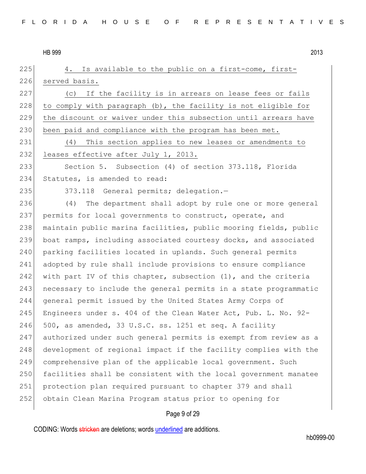$\vert$  4. Is available to the public on a first-come, first- served basis. (c) If the facility is in arrears on lease fees or fails 228 to comply with paragraph  $(b)$ , the facility is not eligible for the discount or waiver under this subsection until arrears have 230 been paid and compliance with the program has been met. (4) This section applies to new leases or amendments to 232 leases effective after July 1, 2013. Section 5. Subsection (4) of section 373.118, Florida 234 Statutes, is amended to read: 235 373.118 General permits; delegation.- (4) The department shall adopt by rule one or more general permits for local governments to construct, operate, and maintain public marina facilities, public mooring fields, public boat ramps, including associated courtesy docks, and associated 240 parking facilities located in uplands. Such general permits 241 adopted by rule shall include provisions to ensure compliance 242 with part IV of this chapter, subsection  $(1)$ , and the criteria 243 necessary to include the general permits in a state programmatic general permit issued by the United States Army Corps of Engineers under s. 404 of the Clean Water Act, Pub. L. No. 92-  $500$ , as amended, 33 U.S.C. ss. 1251 et seq. A facility authorized under such general permits is exempt from review as a 248 development of regional impact if the facility complies with the comprehensive plan of the applicable local government. Such facilities shall be consistent with the local government manatee protection plan required pursuant to chapter 379 and shall obtain Clean Marina Program status prior to opening for

## Page 9 of 29

CODING: Words stricken are deletions; words underlined are additions.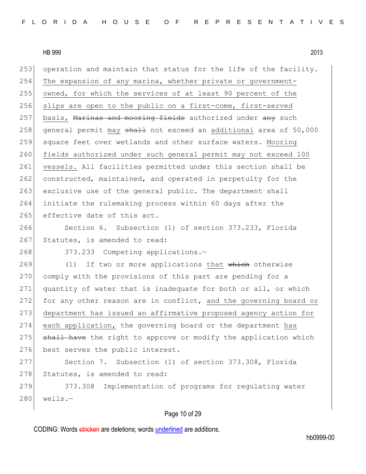253 operation and maintain that status for the life of the facility. 254 The expansion of any marina, whether private or government-255 owned, for which the services of at least 90 percent of the 256 slips are open to the public on a first-come, first-served 257 basis, Marinas and mooring fields authorized under any such 258 general permit may shall not exceed an additional area of 50,000 259 square feet over wetlands and other surface waters. Mooring 260 fields authorized under such general permit may not exceed 100 261 vessels. All facilities permitted under this section shall be 262 constructed, maintained, and operated in perpetuity for the 263 exclusive use of the general public. The department shall 264 initiate the rulemaking process within 60 days after the 265 effective date of this act.

266 Section 6. Subsection (1) of section 373.233, Florida 267 Statutes, is amended to read:

268 373.233 Competing applications.-

269 (1) If two or more applications that which otherwise 270 comply with the provisions of this part are pending for a 271 quantity of water that is inadequate for both or all, or which 272 for any other reason are in conflict, and the governing board or 273 department has issued an affirmative proposed agency action for 274 each application, the governing board or the department has 275 shall have the right to approve or modify the application which 276 best serves the public interest.

277 Section 7. Subsection (1) of section 373.308, Florida 278 Statutes, is amended to read:

279 373.308 Implementation of programs for regulating water  $280$  wells.-

## Page 10 of 29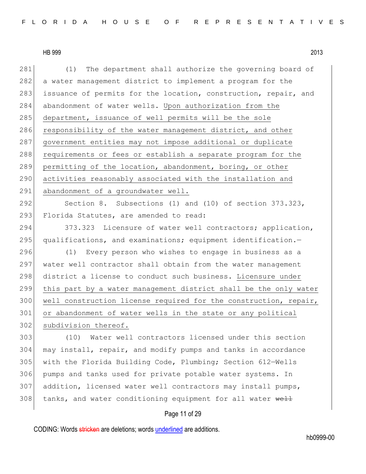281 (1) The department shall authorize the governing board of 282 a water management district to implement a program for the 283 issuance of permits for the location, construction, repair, and 284 abandonment of water wells. Upon authorization from the 285 department, issuance of well permits will be the sole 286 responsibility of the water management district, and other 287 government entities may not impose additional or duplicate 288 requirements or fees or establish a separate program for the 289 permitting of the location, abandonment, boring, or other 290 activities reasonably associated with the installation and 291 abandonment of a groundwater well. 292 Section 8. Subsections (1) and (10) of section 373.323, 293 Florida Statutes, are amended to read: 294 373.323 Licensure of water well contractors; application,  $295$  qualifications, and examinations; equipment identification. 296 (1) Every person who wishes to engage in business as a 297 water well contractor shall obtain from the water management 298 district a license to conduct such business. Licensure under 299 this part by a water management district shall be the only water 300 well construction license required for the construction, repair, 301 or abandonment of water wells in the state or any political 302 subdivision thereof. 303 (10) Water well contractors licensed under this section 304 may install, repair, and modify pumps and tanks in accordance 305 with the Florida Building Code, Plumbing; Section 612-Wells 306 pumps and tanks used for private potable water systems. In 307 addition, licensed water well contractors may install pumps, 308 tanks, and water conditioning equipment for all water  $w$ ell

## Page 11 of 29

CODING: Words stricken are deletions; words underlined are additions.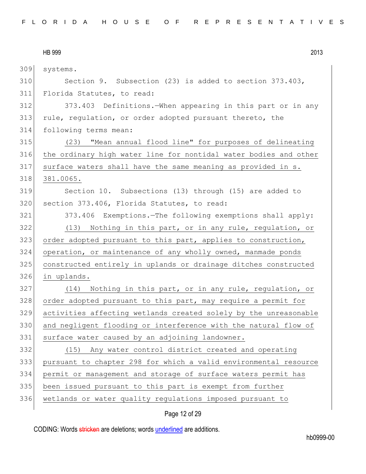| 309 | systems.                                                         |
|-----|------------------------------------------------------------------|
| 310 | Section 9. Subsection (23) is added to section 373.403,          |
| 311 | Florida Statutes, to read:                                       |
| 312 | 373.403 Definitions. When appearing in this part or in any       |
| 313 | rule, regulation, or order adopted pursuant thereto, the         |
| 314 | following terms mean:                                            |
| 315 | (23) "Mean annual flood line" for purposes of delineating        |
| 316 | the ordinary high water line for nontidal water bodies and other |
| 317 | surface waters shall have the same meaning as provided in s.     |
| 318 | 381.0065.                                                        |
| 319 | Section 10. Subsections (13) through (15) are added to           |
| 320 | section 373.406, Florida Statutes, to read:                      |
| 321 | 373.406 Exemptions.-The following exemptions shall apply:        |
| 322 | (13) Nothing in this part, or in any rule, regulation, or        |
| 323 | order adopted pursuant to this part, applies to construction,    |
| 324 | operation, or maintenance of any wholly owned, manmade ponds     |
| 325 | constructed entirely in uplands or drainage ditches constructed  |
| 326 | in uplands.                                                      |
| 327 | (14) Nothing in this part, or in any rule, regulation, or        |
| 328 | order adopted pursuant to this part, may require a permit for    |
| 329 | activities affecting wetlands created solely by the unreasonable |
| 330 | and negligent flooding or interference with the natural flow of  |
| 331 | surface water caused by an adjoining landowner.                  |
| 332 | (15) Any water control district created and operating            |
| 333 | pursuant to chapter 298 for which a valid environmental resource |
| 334 | permit or management and storage of surface waters permit has    |
| 335 | been issued pursuant to this part is exempt from further         |
| 336 | wetlands or water quality regulations imposed pursuant to        |
|     |                                                                  |

# Page 12 of 29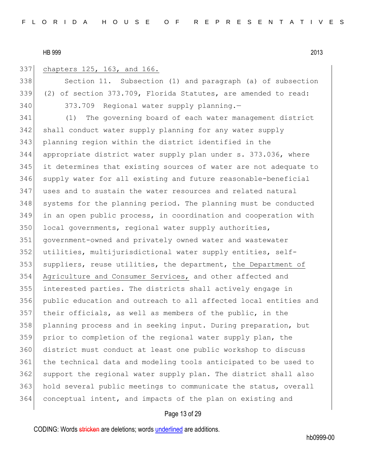## chapters 125, 163, and 166.

338 Section 11. Subsection (1) and paragraph (a) of subsection (2) of section 373.709, Florida Statutes, are amended to read: 373.709 Regional water supply planning.—

 (1) The governing board of each water management district 342 shall conduct water supply planning for any water supply planning region within the district identified in the appropriate district water supply plan under s. 373.036, where it determines that existing sources of water are not adequate to supply water for all existing and future reasonable-beneficial uses and to sustain the water resources and related natural 348 systems for the planning period. The planning must be conducted in an open public process, in coordination and cooperation with 350 local governments, regional water supply authorities, government-owned and privately owned water and wastewater utilities, multijurisdictional water supply entities, self-353 suppliers, reuse utilities, the department, the Department of Agriculture and Consumer Services, and other affected and interested parties. The districts shall actively engage in public education and outreach to all affected local entities and their officials, as well as members of the public, in the planning process and in seeking input. During preparation, but prior to completion of the regional water supply plan, the district must conduct at least one public workshop to discuss the technical data and modeling tools anticipated to be used to support the regional water supply plan. The district shall also hold several public meetings to communicate the status, overall conceptual intent, and impacts of the plan on existing and

## Page 13 of 29

CODING: Words stricken are deletions; words underlined are additions.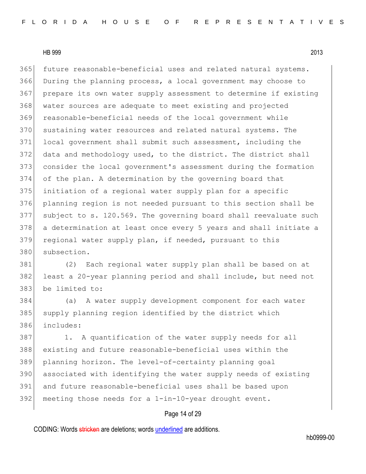365 future reasonable-beneficial uses and related natural systems. During the planning process, a local government may choose to prepare its own water supply assessment to determine if existing water sources are adequate to meet existing and projected reasonable-beneficial needs of the local government while 370 sustaining water resources and related natural systems. The local government shall submit such assessment, including the 372 data and methodology used, to the district. The district shall consider the local government's assessment during the formation of the plan. A determination by the governing board that initiation of a regional water supply plan for a specific planning region is not needed pursuant to this section shall be subject to s. 120.569. The governing board shall reevaluate such a determination at least once every 5 years and shall initiate a 379 regional water supply plan, if needed, pursuant to this subsection.

 (2) Each regional water supply plan shall be based on at least a 20-year planning period and shall include, but need not be limited to:

 (a) A water supply development component for each water 385 supply planning region identified by the district which includes:

387 1. A quantification of the water supply needs for all existing and future reasonable-beneficial uses within the planning horizon. The level-of-certainty planning goal 390 associated with identifying the water supply needs of existing and future reasonable-beneficial uses shall be based upon meeting those needs for a 1-in-10-year drought event.

## Page 14 of 29

CODING: Words stricken are deletions; words underlined are additions.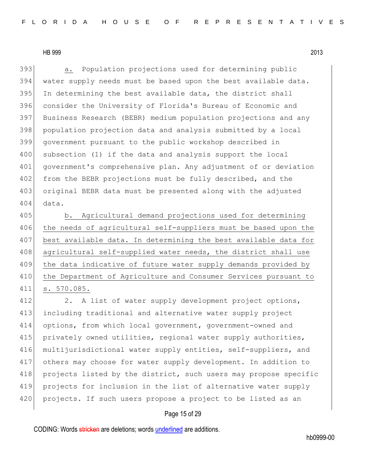393 a. Population projections used for determining public water supply needs must be based upon the best available data. In determining the best available data, the district shall consider the University of Florida's Bureau of Economic and Business Research (BEBR) medium population projections and any population projection data and analysis submitted by a local government pursuant to the public workshop described in 400 subsection (1) if the data and analysis support the local government's comprehensive plan. Any adjustment of or deviation 402 from the BEBR projections must be fully described, and the original BEBR data must be presented along with the adjusted 404 data.

405 b. Agricultural demand projections used for determining 406 the needs of agricultural self-suppliers must be based upon the 407 best available data. In determining the best available data for 408 agricultural self-supplied water needs, the district shall use 409 the data indicative of future water supply demands provided by 410 the Department of Agriculture and Consumer Services pursuant to 411 s. 570.085.

412 2. A list of water supply development project options, including traditional and alternative water supply project options, from which local government, government-owned and privately owned utilities, regional water supply authorities, multijurisdictional water supply entities, self-suppliers, and others may choose for water supply development. In addition to 418 projects listed by the district, such users may propose specific projects for inclusion in the list of alternative water supply 420 projects. If such users propose a project to be listed as an

## Page 15 of 29

CODING: Words stricken are deletions; words underlined are additions.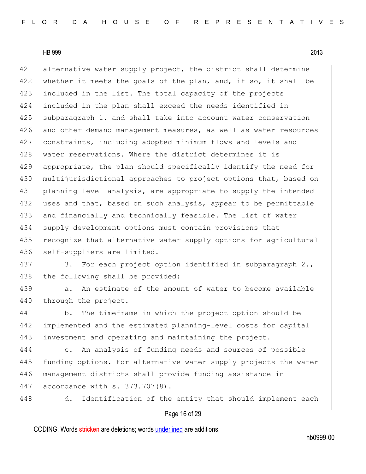421 alternative water supply project, the district shall determine 422 whether it meets the goals of the plan, and, if so, it shall be 423 included in the list. The total capacity of the projects 424 included in the plan shall exceed the needs identified in 425 subparagraph 1. and shall take into account water conservation 426 and other demand management measures, as well as water resources 427 constraints, including adopted minimum flows and levels and 428 water reservations. Where the district determines it is 429 appropriate, the plan should specifically identify the need for 430 multijurisdictional approaches to project options that, based on 431 planning level analysis, are appropriate to supply the intended 432 uses and that, based on such analysis, appear to be permittable 433 and financially and technically feasible. The list of water 434 supply development options must contain provisions that 435 recognize that alternative water supply options for agricultural 436 self-suppliers are limited.

437 3. For each project option identified in subparagraph 2., 438 the following shall be provided:

439 a. An estimate of the amount of water to become available 440 through the project.

441 b. The timeframe in which the project option should be 442 implemented and the estimated planning-level costs for capital 443 investment and operating and maintaining the project.

444 c. An analysis of funding needs and sources of possible 445 funding options. For alternative water supply projects the water 446 management districts shall provide funding assistance in 447 accordance with s. 373.707(8).

448 d. Identification of the entity that should implement each

#### Page 16 of 29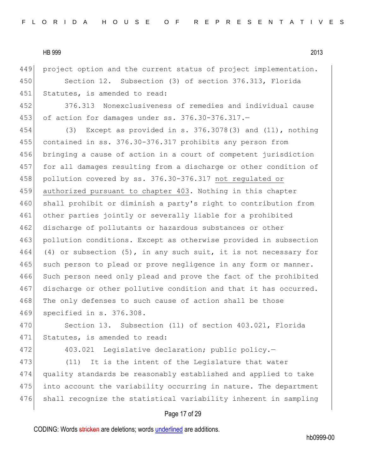449 project option and the current status of project implementation.

450 Section 12. Subsection (3) of section 376.313, Florida 451 Statutes, is amended to read:

452 376.313 Nonexclusiveness of remedies and individual cause 453 of action for damages under ss. 376.30-376.317.—

454 (3) Except as provided in s. 376.3078(3) and (11), nothing 455 contained in ss. 376.30-376.317 prohibits any person from 456 bringing a cause of action in a court of competent jurisdiction 457 for all damages resulting from a discharge or other condition of 458 pollution covered by ss. 376.30-376.317 not regulated or 459 authorized pursuant to chapter 403. Nothing in this chapter 460 shall prohibit or diminish a party's right to contribution from 461 other parties jointly or severally liable for a prohibited 462 discharge of pollutants or hazardous substances or other 463 pollution conditions. Except as otherwise provided in subsection 464 (4) or subsection  $(5)$ , in any such suit, it is not necessary for 465 such person to plead or prove negligence in any form or manner. 466 Such person need only plead and prove the fact of the prohibited 467 discharge or other pollutive condition and that it has occurred. 468 The only defenses to such cause of action shall be those 469 specified in s. 376.308.

470 Section 13. Subsection (11) of section 403.021, Florida 471 Statutes, is amended to read:

472 403.021 Legislative declaration; public policy.-

473 (11) It is the intent of the Legislature that water 474 quality standards be reasonably established and applied to take 475 into account the variability occurring in nature. The department 476 shall recognize the statistical variability inherent in sampling

#### Page 17 of 29

CODING: Words stricken are deletions; words underlined are additions.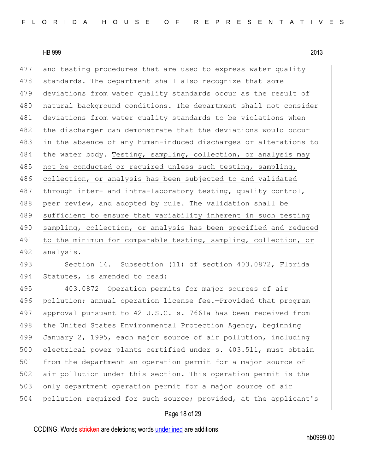477 and testing procedures that are used to express water quality 478 standards. The department shall also recognize that some 479 deviations from water quality standards occur as the result of 480 | natural background conditions. The department shall not consider 481 deviations from water quality standards to be violations when 482 the discharger can demonstrate that the deviations would occur 483 in the absence of any human-induced discharges or alterations to 484 the water body. Testing, sampling, collection, or analysis may 485 not be conducted or required unless such testing, sampling, 486 collection, or analysis has been subjected to and validated 487 through inter- and intra-laboratory testing, quality control, 488 peer review, and adopted by rule. The validation shall be 489 sufficient to ensure that variability inherent in such testing 490 sampling, collection, or analysis has been specified and reduced 491 to the minimum for comparable testing, sampling, collection, or 492 analysis.

493 Section 14. Subsection (11) of section 403.0872, Florida 494 Statutes, is amended to read:

495 403.0872 Operation permits for major sources of air 496 pollution; annual operation license fee.-Provided that program 497 approval pursuant to 42 U.S.C. s. 7661a has been received from 498 the United States Environmental Protection Agency, beginning 499 January 2, 1995, each major source of air pollution, including 500 electrical power plants certified under s. 403.511, must obtain 501 from the department an operation permit for a major source of 502 air pollution under this section. This operation permit is the 503 only department operation permit for a major source of air 504 pollution required for such source; provided, at the applicant's

## Page 18 of 29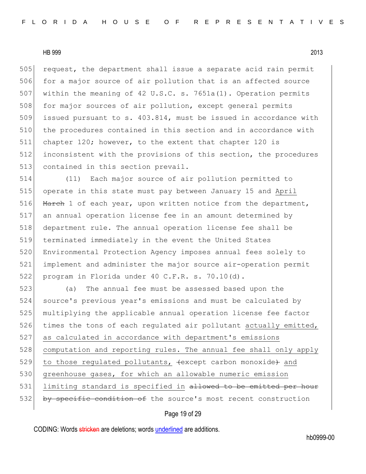505 request, the department shall issue a separate acid rain permit 506 for a major source of air pollution that is an affected source 507 within the meaning of 42 U.S.C. s. 7651a(1). Operation permits 508 for major sources of air pollution, except general permits 509 issued pursuant to s. 403.814, must be issued in accordance with 510 the procedures contained in this section and in accordance with 511 chapter 120; however, to the extent that chapter 120 is 512 inconsistent with the provisions of this section, the procedures 513 contained in this section prevail.

 (11) Each major source of air pollution permitted to operate in this state must pay between January 15 and April 516 March 1 of each year, upon written notice from the department, an annual operation license fee in an amount determined by department rule. The annual operation license fee shall be terminated immediately in the event the United States Environmental Protection Agency imposes annual fees solely to implement and administer the major source air-operation permit 522 program in Florida under 40 C.F.R. s. 70.10(d).

523 (a) The annual fee must be assessed based upon the 524 source's previous year's emissions and must be calculated by 525 multiplying the applicable annual operation license fee factor 526 times the tons of each regulated air pollutant actually emitted, 527 as calculated in accordance with department's emissions 528 computation and reporting rules. The annual fee shall only apply 529 to those regulated pollutants,  $\{except$  carbon monoxide and 530 greenhouse gases, for which an allowable numeric emission 531 limiting standard is specified in allowed to be emitted per hour 532 by specific condition of the source's most recent construction

#### Page 19 of 29

CODING: Words stricken are deletions; words underlined are additions.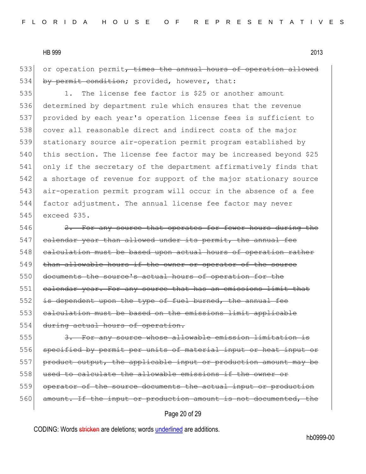533 or operation permit, times the annual hours of operation allowed 534 by permit condition; provided, however, that:

535 1. The license fee factor is \$25 or another amount determined by department rule which ensures that the revenue provided by each year's operation license fees is sufficient to cover all reasonable direct and indirect costs of the major stationary source air-operation permit program established by 540 this section. The license fee factor may be increased beyond \$25 only if the secretary of the department affirmatively finds that a shortage of revenue for support of the major stationary source air-operation permit program will occur in the absence of a fee factor adjustment. The annual license fee factor may never exceed \$35.

546 2. For any source that operates for fewer hours during the 547 calendar year than allowed under its permit, the annual fee 548 calculation must be based upon actual hours of operation rather 549 than allowable hours if the owner or operator of the source 550 documents the source's actual hours of operation for the 551 calendar year. For any source that has an emissions limit that 552 is dependent upon the type of fuel burned, the annual fee 553 calculation must be based on the emissions limit applicable 554 during actual hours of operation.

555 3. For any source whose allowable emission limitation is 556 specified by permit per units of material input or heat input or 557 product output, the applicable input or production amount may be 558 used to calculate the allowable emissions if the owner or 559 operator of the source documents the actual input or production 560 amount. If the input or production amount is not documented, the

# Page 20 of 29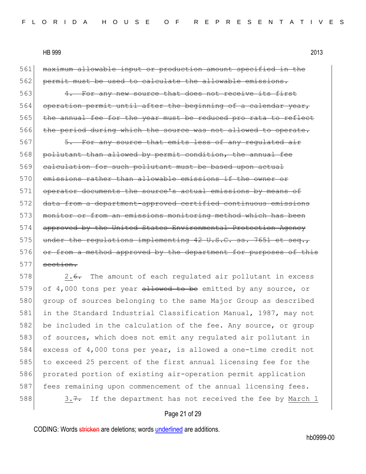561 maximum allowable input or production amount specified in the 562 permit must be used to calculate the allowable emissions.

563 4. For any new source that does not receive its first 564 operation permit until after the beginning of a calendar year, 565 the annual fee for the year must be reduced pro rata to reflect 566 the period during which the source was not allowed to operate.

567 5. For any source that emits less of any regulated air 568 pollutant than allowed by permit condition, the annual fee 569 calculation for such pollutant must be based upon actual 570 emissions rather than allowable emissions if the owner or 571 operator documents the source's actual emissions by means of 572 data from a department-approved certified continuous emissions 573 monitor or from an emissions monitoring method which has been 574 approved by the United States Environmental Protection Agency  $575$  under the regulations implementing 42 U.S.C. ss. 7651 et 576 or from a method approved by the department for purposes of this  $577$  section.

578 2.6. The amount of each regulated air pollutant in excess 579 of 4,000 tons per year allowed to be emitted by any source, or 580 group of sources belonging to the same Major Group as described 581 in the Standard Industrial Classification Manual, 1987, may not 582 be included in the calculation of the fee. Any source, or group 583 of sources, which does not emit any regulated air pollutant in 584 excess of 4,000 tons per year, is allowed a one-time credit not 585 to exceed 25 percent of the first annual licensing fee for the 586 prorated portion of existing air-operation permit application 587 fees remaining upon commencement of the annual licensing fees. 588  $3.7.$  If the department has not received the fee by March 1

#### Page 21 of 29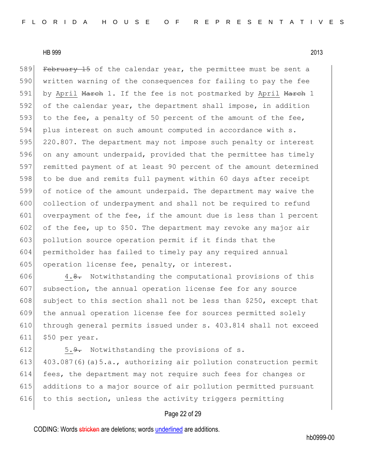589 February 15 of the calendar year, the permittee must be sent a 590 written warning of the consequences for failing to pay the fee 591 by April March 1. If the fee is not postmarked by April March 1 592 of the calendar year, the department shall impose, in addition 593 to the fee, a penalty of 50 percent of the amount of the fee, 594 plus interest on such amount computed in accordance with s. 595 220.807. The department may not impose such penalty or interest 596 on any amount underpaid, provided that the permittee has timely 597 remitted payment of at least 90 percent of the amount determined 598 to be due and remits full payment within 60 days after receipt 599 of notice of the amount underpaid. The department may waive the 600 collection of underpayment and shall not be required to refund 601 overpayment of the fee, if the amount due is less than 1 percent 602 of the fee, up to \$50. The department may revoke any major air 603 pollution source operation permit if it finds that the 604 permitholder has failed to timely pay any required annual 605 operation license fee, penalty, or interest.

606 4.8. Notwithstanding the computational provisions of this 607 subsection, the annual operation license fee for any source 608 subject to this section shall not be less than \$250, except that 609 the annual operation license fee for sources permitted solely 610 through general permits issued under s. 403.814 shall not exceed 611 \$50 per year.

 5.9. Notwithstanding the provisions of s. 403.087(6)(a)5.a., authorizing air pollution construction permit fees, the department may not require such fees for changes or additions to a major source of air pollution permitted pursuant 616 to this section, unless the activity triggers permitting

## Page 22 of 29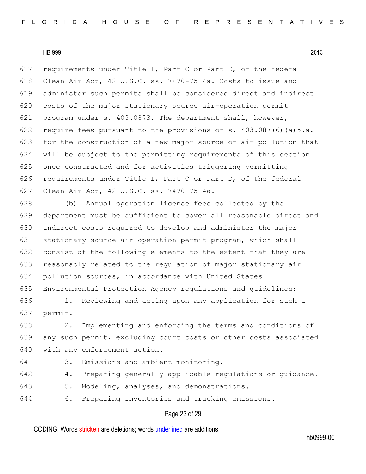617 requirements under Title I, Part C or Part D, of the federal 618 Clean Air Act, 42 U.S.C. ss.  $7470-7514a$ . Costs to issue and 619 administer such permits shall be considered direct and indirect 620 costs of the major stationary source air-operation permit 621 program under s. 403.0873. The department shall, however, 622 require fees pursuant to the provisions of s.  $403.087(6)(a)5.a.$ 623 for the construction of a new major source of air pollution that 624 will be subject to the permitting requirements of this section 625 once constructed and for activities triggering permitting 626 requirements under Title I, Part C or Part D, of the federal 627 Clean Air Act, 42 U.S.C. ss. 7470-7514a.

 (b) Annual operation license fees collected by the department must be sufficient to cover all reasonable direct and indirect costs required to develop and administer the major 631 stationary source air-operation permit program, which shall consist of the following elements to the extent that they are 633 reasonably related to the regulation of major stationary air pollution sources, in accordance with United States Environmental Protection Agency regulations and guidelines:

636 1. Reviewing and acting upon any application for such a 637 permit.

638 2. Implementing and enforcing the terms and conditions of 639 any such permit, excluding court costs or other costs associated 640 with any enforcement action.

- 641 3. Emissions and ambient monitoring.
- 642 4. Preparing generally applicable regulations or quidance.
- 643 5. Modeling, analyses, and demonstrations.
- 644 6. Preparing inventories and tracking emissions.

#### Page 23 of 29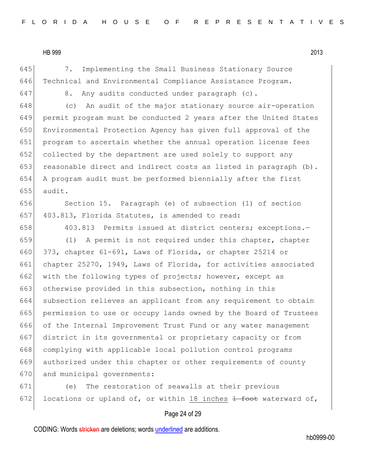645 7. Implementing the Small Business Stationary Source 646 Technical and Environmental Compliance Assistance Program.

 $647$  8. Any audits conducted under paragraph (c).

 (c) An audit of the major stationary source air-operation permit program must be conducted 2 years after the United States Environmental Protection Agency has given full approval of the program to ascertain whether the annual operation license fees 652 collected by the department are used solely to support any 653 reasonable direct and indirect costs as listed in paragraph  $(b)$ . A program audit must be performed biennially after the first  $655$  audit.

656 Section 15. Paragraph (e) of subsection (1) of section 657 403.813, Florida Statutes, is amended to read:

658 403.813 Permits issued at district centers; exceptions.-

659 (1) A permit is not required under this chapter, chapter 660 373, chapter 61-691, Laws of Florida, or chapter 25214 or 661 chapter 25270, 1949, Laws of Florida, for activities associated 662 with the following types of projects; however, except as 663 otherwise provided in this subsection, nothing in this 664 subsection relieves an applicant from any requirement to obtain 665 permission to use or occupy lands owned by the Board of Trustees 666 of the Internal Improvement Trust Fund or any water management 667 district in its governmental or proprietary capacity or from 668 complying with applicable local pollution control programs 669 authorized under this chapter or other requirements of county 670 and municipal governments:

671 (e) The restoration of seawalls at their previous 672 locations or upland of, or within 18 inches  $\frac{1}{100}$  waterward of,

#### Page 24 of 29

CODING: Words stricken are deletions; words underlined are additions.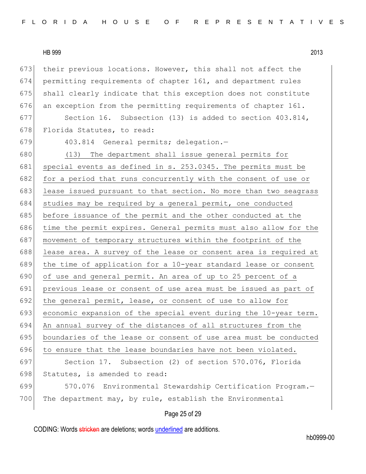HB 999 2013 673 their previous locations. However, this shall not affect the 674 permitting requirements of chapter 161, and department rules 675 shall clearly indicate that this exception does not constitute 676 an exception from the permitting requirements of chapter  $161$ . 677 Section 16. Subsection (13) is added to section 403.814, 678 Florida Statutes, to read: 679 403.814 General permits; delegation.— 680 (13) The department shall issue general permits for 681 special events as defined in s. 253.0345. The permits must be 682 for a period that runs concurrently with the consent of use or 683 lease issued pursuant to that section. No more than two seagrass 684 studies may be required by a general permit, one conducted 685 before issuance of the permit and the other conducted at the 686 time the permit expires. General permits must also allow for the 687 movement of temporary structures within the footprint of the 688 lease area. A survey of the lease or consent area is required at 689 the time of application for a 10-year standard lease or consent 690 of use and general permit. An area of up to 25 percent of a 691 previous lease or consent of use area must be issued as part of 692 the general permit, lease, or consent of use to allow for 693 economic expansion of the special event during the  $10$ -year term. 694 An annual survey of the distances of all structures from the 695 boundaries of the lease or consent of use area must be conducted 696 to ensure that the lease boundaries have not been violated. 697 Section 17. Subsection (2) of section 570.076, Florida 698 Statutes, is amended to read: 699 570.076 Environmental Stewardship Certification Program.— 700 The department may, by rule, establish the Environmental

#### Page 25 of 29

CODING: Words stricken are deletions; words underlined are additions.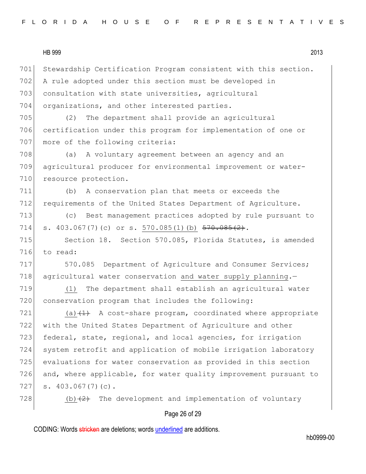701 Stewardship Certification Program consistent with this section.

HB 999 2013

702 A rule adopted under this section must be developed in 703 consultation with state universities, agricultural 704 organizations, and other interested parties. 705 (2) The department shall provide an agricultural 706 certification under this program for implementation of one or 707 more of the following criteria: 708 (a) A voluntary agreement between an agency and an 709 agricultural producer for environmental improvement or water-710 resource protection. 711 (b) A conservation plan that meets or exceeds the 712 requirements of the United States Department of Agriculture. 713 (c) Best management practices adopted by rule pursuant to 714 s. 403.067(7)(c) or s. 570.085(1)(b)  $\frac{570.085(2)}{1}$ . 715 Section 18. Section 570.085, Florida Statutes, is amended 716 to read: 717 570.085 Department of Agriculture and Consumer Services; 718 agricultural water conservation and water supply planning.-719 (1) The department shall establish an agricultural water 720 conservation program that includes the following:  $721$  (a) $\left(1\right)$  A cost-share program, coordinated where appropriate 722 with the United States Department of Agriculture and other 723 federal, state, regional, and local agencies, for irrigation 724 system retrofit and application of mobile irrigation laboratory 725 evaluations for water conservation as provided in this section 726 and, where applicable, for water quality improvement pursuant to

 $727$  s.  $403.067(7)(c)$ .

728 (b) $(2)$  The development and implementation of voluntary

#### Page 26 of 29

CODING: Words stricken are deletions; words underlined are additions.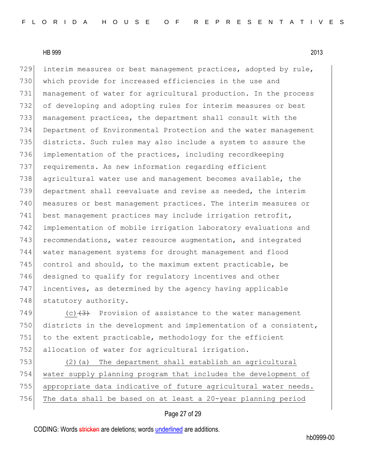729 interim measures or best management practices, adopted by rule, which provide for increased efficiencies in the use and management of water for agricultural production. In the process 732 of developing and adopting rules for interim measures or best management practices, the department shall consult with the Department of Environmental Protection and the water management districts. Such rules may also include a system to assure the implementation of the practices, including recordkeeping requirements. As new information regarding efficient agricultural water use and management becomes available, the department shall reevaluate and revise as needed, the interim measures or best management practices. The interim measures or 741 best management practices may include irrigation retrofit, implementation of mobile irrigation laboratory evaluations and 743 recommendations, water resource augmentation, and integrated water management systems for drought management and flood control and should, to the maximum extent practicable, be 746 designed to qualify for regulatory incentives and other incentives, as determined by the agency having applicable 748 statutory authority.

749  $(c)$   $(3)$  Provision of assistance to the water management 750 districts in the development and implementation of a consistent, 751 to the extent practicable, methodology for the efficient 752 allocation of water for agricultural irrigation.

 (2)(a) The department shall establish an agricultural water supply planning program that includes the development of 755 appropriate data indicative of future agricultural water needs. The data shall be based on at least a 20-year planning period

# Page 27 of 29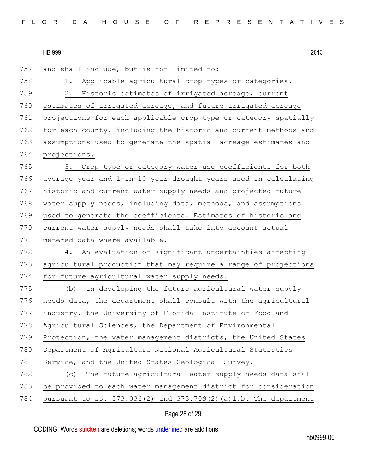|     | 2013<br><b>HB 999</b>                                           |
|-----|-----------------------------------------------------------------|
| 757 | and shall include, but is not limited to:                       |
| 758 | Applicable agricultural crop types or categories.<br>1.         |
| 759 | Historic estimates of irrigated acreage, current<br>2.          |
| 760 | estimates of irrigated acreage, and future irrigated acreage    |
| 761 | projections for each applicable crop type or category spatially |
| 762 | for each county, including the historic and current methods and |
| 763 | assumptions used to generate the spatial acreage estimates and  |
| 764 | projections.                                                    |
| 765 | 3. Crop type or category water use coefficients for both        |
| 766 | average year and 1-in-10 year drought years used in calculating |
| 767 | historic and current water supply needs and projected future    |
| 768 | water supply needs, including data, methods, and assumptions    |
| 769 | used to generate the coefficients. Estimates of historic and    |
| 770 | current water supply needs shall take into account actual       |
| 771 | metered data where available.                                   |
| 772 | An evaluation of significant uncertainties affecting<br>4.      |
| 773 | agricultural production that may require a range of projections |
| 774 | for future agricultural water supply needs.                     |
| 775 | In developing the future agricultural water supply<br>(b)       |
| 776 | needs data, the department shall consult with the agricultural  |
| 777 | industry, the University of Florida Institute of Food and       |
|     |                                                                 |

778 Agricultural Sciences, the Department of Environmental 779 Protection, the water management districts, the United States

780 Department of Agriculture National Agricultural Statistics

781 Service, and the United States Geological Survey.

782 (c) The future agricultural water supply needs data shall 783 be provided to each water management district for consideration pursuant to ss. 373.036(2) and 373.709(2)(a)1.b. The department

# Page 28 of 29